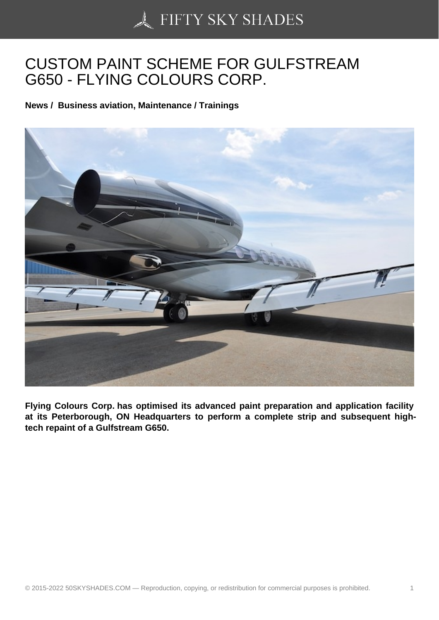## [CUSTOM PAINT SCHE](https://50skyshades.com)ME FOR GULFSTREAM G650 - FLYING COLOURS CORP.

News / Business aviation, Maintenance / Trainings

Flying Colours Corp. has optimised its advanced paint preparation and application facility at its Peterborough, ON Headquarters to perform a complete strip and subsequent hightech repaint of a Gulfstream G650.